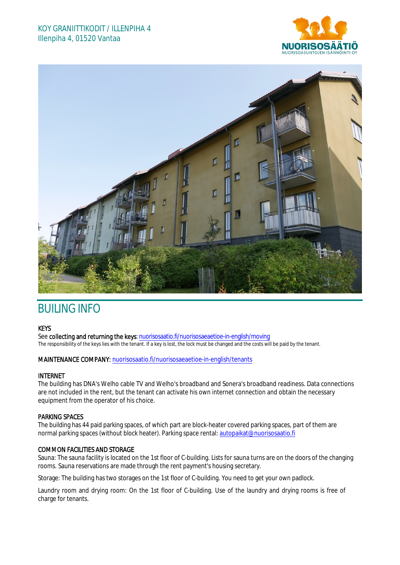# KOY GRANIITTIKODIT / ILLENPIHA 4 Illenpiha 4, 01520 Vantaa





# BUILING INFO

#### **KEYS**

See collecting and returning the keys: nuorisosaatio.fi/nuorisosaeaetioe-in-english/moving The responsibility of the keys lies with the tenant. If a key is lost, the lock must be changed and the costs will be paid by the tenant.

### MAINTENANCE COMPANY: nuorisosaatio.fi/nuorisosaeaetioe-in-english/tenants

#### INTERNET

The building has DNA's Welho cable TV and Welho's broadband and Sonera's broadband readiness. Data connections are not included in the rent, but the tenant can activate his own internet connection and obtain the necessary equipment from the operator of his choice.

### PARKING SPACES

The building has 44 paid parking spaces, of which part are block-heater covered parking spaces, part of them are normal parking spaces (without block heater). Parking space rental: autopaikat@nuorisosaatio.fi

## COMMON FACILITIES AND STORAGE

Sauna: The sauna facility is located on the 1st floor of C-building. Lists for sauna turns are on the doors of the changing rooms. Sauna reservations are made through the rent payment's housing secretary.

Storage: The building has two storages on the 1st floor of C-building. You need to get your own padlock.

Laundry room and drying room: On the 1st floor of C-building. Use of the laundry and drying rooms is free of charge for tenants.